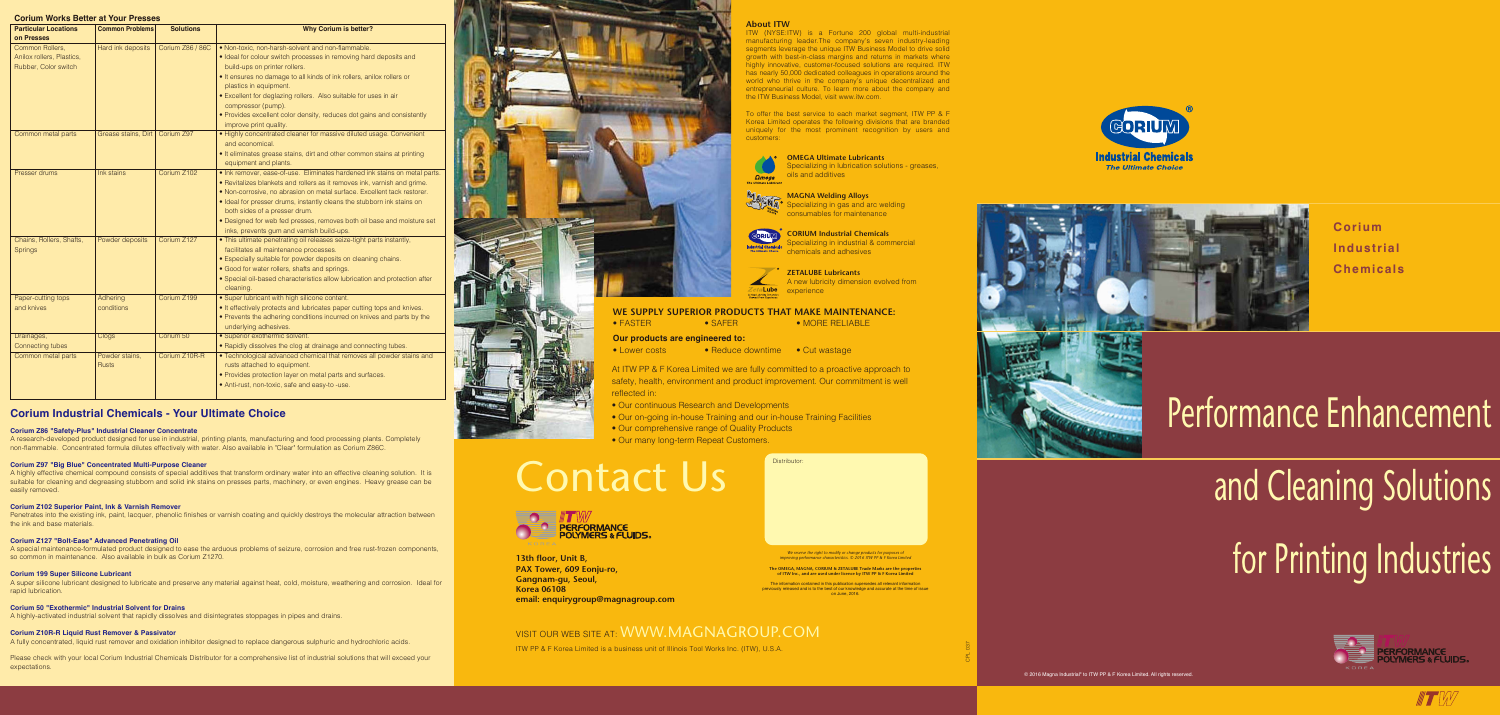**Corium Industrial Chemicals**

# and Cleaning Solutions for Printing Industries



**Altra March 2017** 

# Performance Enhancement

At ITW PP & F Korea Limited we are fully committed to a proactive approach to safety, health, environment and product improvement. Our commitment is well

- Our continuous Research and Developments
- Our on-going in-house Training and our in-house Training Facilities
- Our comprehensive range of Quality Products
- Our many long-term Repeat Customers.

## Contact Us





### **WE SUPPLY SUPERIOR PRODUCTS THAT MAKE MAINTENANCE:**

• FASTER • SAFER • MORE RELIABLE

• Lower costs • Reduce downtime • Cut wastage

CPL 037







**The OMEGA, MAGNA, CORIUM & ZETALUBE Trade Marks are the properties of ITW Inc., and are used under licence by ITW PP & F Korea Limited** 

The information contained in this publication supersedes all relevant information previously released and is to the best of our knowledge and accurate at the time of issue on June, 2016.

### **Corium Works Better at Your Presses**

| <b>Particular Locations</b>                                          | <b>Common Problems</b>         | <b>Solutions</b> | <b>Why Corium is better?</b>                                                                                                                                                                                                                                                                                                                                                                                                                                        |
|----------------------------------------------------------------------|--------------------------------|------------------|---------------------------------------------------------------------------------------------------------------------------------------------------------------------------------------------------------------------------------------------------------------------------------------------------------------------------------------------------------------------------------------------------------------------------------------------------------------------|
| on Presses                                                           |                                |                  |                                                                                                                                                                                                                                                                                                                                                                                                                                                                     |
| Common Rollers,<br>Anilox rollers, Plastics,<br>Rubber, Color switch | Hard ink deposits              | Corium Z86 / 86C | . Non-toxic, non-harsh-solvent and non-flammable.<br>• Ideal for colour switch processes in removing hard deposits and<br>build-ups on printer rollers.<br>. It ensures no damage to all kinds of ink rollers, anilox rollers or<br>plastics in equipment.<br>· Excellent for deglazing rollers. Also suitable for uses in air<br>compressor (pump).<br>· Provides excellent color density, reduces dot gains and consistently<br>improve print quality.            |
| Common metal parts                                                   | Grease stains, Dirt            | Corium Z97       | . Highly concentrated cleaner for massive diluted usage. Convenient<br>and economical.<br>. It eliminates grease stains, dirt and other common stains at printing<br>equipment and plants.                                                                                                                                                                                                                                                                          |
| <b>Presser drums</b>                                                 | Ink stains                     | Corium Z102      | . Ink remover, ease-of-use. Eliminates hardened ink stains on metal parts.<br>• Revitalizes blankets and rollers as it removes ink, varnish and grime.<br>. Non-corrosive, no abrasion on metal surface. Excellent tack restorer.<br>· Ideal for presser drums, instantly cleans the stubborn ink stains on<br>both sides of a presser drum.<br>· Designed for web fed presses, removes both oil base and moisture set<br>inks, prevents gum and varnish build-ups. |
| Chains, Rollers, Shafts,<br><b>Springs</b>                           | Powder deposits                | Corium Z127      | . This ultimate penetrating oil releases seize-tight parts instantly,<br>facilitates all maintenance processes.<br>• Especially suitable for powder deposits on cleaning chains.<br>• Good for water rollers, shafts and springs.<br>· Special oil-based characteristics allow lubrication and protection after<br>cleaning.                                                                                                                                        |
| Paper-cutting tops<br>and knives                                     | Adhering<br>conditions         | Corium Z199      | · Super lubricant with high silicone content.<br>. It effectively protects and lubricates paper cutting tops and knives.<br>• Prevents the adhering conditions incurred on knives and parts by the<br>underlying adhesives.                                                                                                                                                                                                                                         |
| Drainages,<br>Connecting tubes                                       | Clogs                          | Corium 50        | · Superior exothermic solvent.<br>. Rapidly dissolves the clog at drainage and connecting tubes.                                                                                                                                                                                                                                                                                                                                                                    |
| Common metal parts                                                   | Powder stains,<br><b>Rusts</b> | Corium Z10R-R    | . Technological advanced chemical that removes all powder stains and<br>rusts attached to equipment.<br>· Provides protection layer on metal parts and surfaces.<br>• Anti-rust, non-toxic, safe and easy-to -use.                                                                                                                                                                                                                                                  |

### **Corium Industrial Chemicals - Your Ultimate Choice**

### **Corium Z86 "Safety-Plus" Industrial Cleaner Concentrate**

A research-developed product designed for use in industrial, printing plants, manufacturing and food processing plants. Completely non-flammable. Concentrated formula dilutes effectively with water. Also available in "Clear" formulation as Corium Z86C.

### **Corium Z97 "Big Blue" Concentrated Multi-Purpose Cleaner**

A highly effective chemical compound consists of special additives that transform ordinary water into an effective cleaning solution. It is suitable for cleaning and degreasing stubborn and solid ink stains on presses parts, machinery, or even engines. Heavy grease can be easily removed.

### **Corium Z102 Superior Paint, Ink & Varnish Remover**

Penetrates into the existing ink, paint, lacquer, phenolic finishes or varnish coating and quickly destroys the molecular attraction between the ink and base materials.

### **Corium Z127 "Bolt-Ease" Advanced Penetrating Oil**

A special maintenance-formulated product designed to ease the arduous problems of seizure, corrosion and free rust-frozen components, so common in maintenance. Also available in bulk as Corium Z1270.

### **Corium 199 Super Silicone Lubricant**

A super silicone lubricant designed to lubricate and preserve any material against heat, cold, moisture, weathering and corrosion. Ideal for rapid lubrication.

### **Corium 50 "Exothermic" Industrial Solvent for Drains**

A highly-activated industrial solvent that rapidly dissolves and disintegrates stoppages in pipes and drains.

### **Corium Z10R-R Liquid Rust Remover & Passivator**

A fully concentrated, liquid rust remover and oxidation inhibitor designed to replace dangerous sulphuric and hydrochloric acids.

Please check with your local Corium Industrial Chemicals Distributor for a comprehensive list of industrial solutions that will exceed your expectations.

### **About ITW**

ITW (NYSE:ITW) is a Fortune 200 global multi-industrial manufacturing leader.The company's seven industry-leading segments leverage the unique ITW Business Model to drive solid growth with best-in-class margins and returns in markets where highly innovative, customer-focused solutions are required. ITW has nearly 50,000 dedicated colleagues in operations around the world who thrive in the company's unique decentralized and entrepreneurial culture. To learn more about the company and the ITW Business Model, visit www.itw.com.

To offer the best service to each market segment, ITW PP & F Korea Limited operates the following divisions that are branded uniquely for the most prominent recognition by users and



customers:





- 
- 
- 

ITW PP & F Korea Limited is a business unit of Illinois Tool Works Inc. (ITW), U.S.A.

**13th floor, Unit B, PAX Tower, 609 Eonju-ro, Gangnam-gu, Seoul, Korea 06108 email: enquirygroup@magnagroup.com**

### VISIT OUR WEB SITE AT: WWW.MAGNAGROUP.COM

**OMEGA Ultimate Lubricants** Specializing in lubrication solutions - greases, oils and additives



**MAGNA Welding Alloys** Specializing in gas and arc welding consumables for maintenance

**CORIUM Industrial Chemicals** Specializing in industrial & commercial chemicals and adhesives

**ZETALUBE Lubricants** A new lubricity dimension evolved from ta**Lube** experience